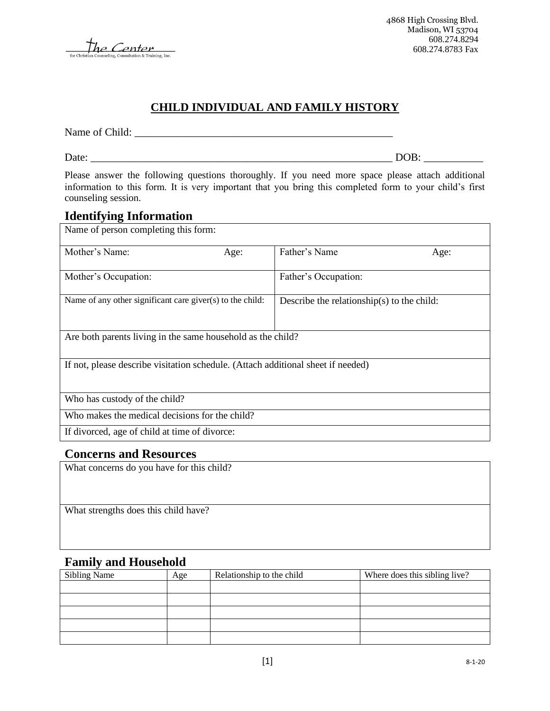The Center

## **CHILD INDIVIDUAL AND FAMILY HISTORY**

Name of Child: \_\_\_\_\_\_\_\_\_\_\_\_\_\_\_\_\_\_\_\_\_\_\_\_\_\_\_\_\_\_\_\_\_\_\_\_\_\_\_\_\_\_\_\_\_\_\_\_

Date: \_\_\_\_\_\_\_\_\_\_\_\_\_\_\_\_\_\_\_\_\_\_\_\_\_\_\_\_\_\_\_\_\_\_\_\_\_\_\_\_\_\_\_\_\_\_\_\_\_\_\_\_\_\_\_\_ DOB: \_\_\_\_\_\_\_\_\_\_\_

Please answer the following questions thoroughly. If you need more space please attach additional information to this form. It is very important that you bring this completed form to your child's first counseling session.

#### **Identifying Information**

| Name of person completing this form:                                             |                                                |                                            |      |  |  |  |
|----------------------------------------------------------------------------------|------------------------------------------------|--------------------------------------------|------|--|--|--|
| Mother's Name:                                                                   | Age:                                           | Father's Name                              | Age: |  |  |  |
| Mother's Occupation:                                                             |                                                | Father's Occupation:                       |      |  |  |  |
| Name of any other significant care given $(s)$ to the child:                     |                                                | Describe the relationship(s) to the child: |      |  |  |  |
| Are both parents living in the same household as the child?                      |                                                |                                            |      |  |  |  |
| If not, please describe visitation schedule. (Attach additional sheet if needed) |                                                |                                            |      |  |  |  |
| Who has custody of the child?                                                    |                                                |                                            |      |  |  |  |
|                                                                                  | Who makes the medical decisions for the child? |                                            |      |  |  |  |
| If divorced, age of child at time of divorce:                                    |                                                |                                            |      |  |  |  |

#### **Concerns and Resources**

What concerns do you have for this child?

What strengths does this child have?

#### **Family and Household**

| <b>Sibling Name</b> | Age | Relationship to the child | Where does this sibling live? |
|---------------------|-----|---------------------------|-------------------------------|
|                     |     |                           |                               |
|                     |     |                           |                               |
|                     |     |                           |                               |
|                     |     |                           |                               |
|                     |     |                           |                               |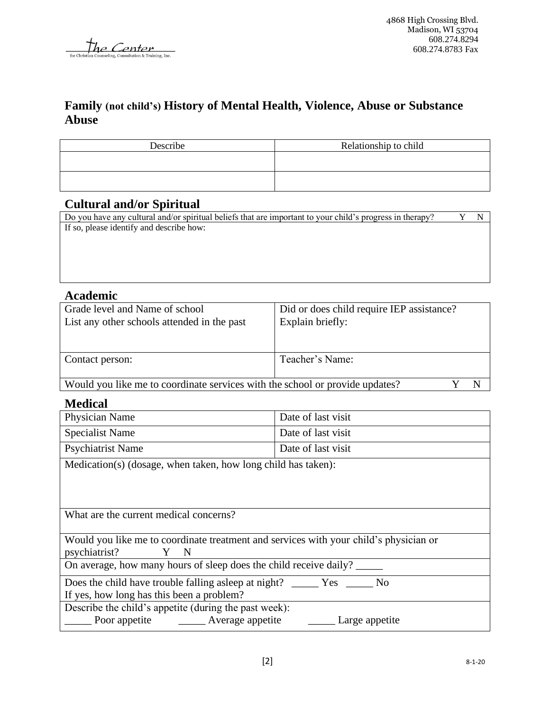The Center

### **Family (not child's) History of Mental Health, Violence, Abuse or Substance Abuse**

| Describe | Relationship to child |
|----------|-----------------------|
|          |                       |
|          |                       |
|          |                       |

### **Cultural and/or Spiritual**

## **Academic**

| Grade level and Name of school                                               | Did or does child require IEP assistance? |  |
|------------------------------------------------------------------------------|-------------------------------------------|--|
| List any other schools attended in the past                                  | Explain briefly:                          |  |
|                                                                              |                                           |  |
|                                                                              |                                           |  |
| Contact person:                                                              | Teacher's Name:                           |  |
|                                                                              |                                           |  |
| Would you like me to coordinate services with the school or provide updates? |                                           |  |

#### **Medical**

| Physician Name                                                | Date of last visit |  |  |  |
|---------------------------------------------------------------|--------------------|--|--|--|
| <b>Specialist Name</b>                                        | Date of last visit |  |  |  |
| <b>Psychiatrist Name</b>                                      | Date of last visit |  |  |  |
| Medication(s) (dosage, when taken, how long child has taken): |                    |  |  |  |
|                                                               |                    |  |  |  |

What are the current medical concerns?

|               |     |  | Would you like me to coordinate treatment and services with your child's physician or |
|---------------|-----|--|---------------------------------------------------------------------------------------|
| psychiatrist? | Y N |  |                                                                                       |

On average, how many hours of sleep does the child receive daily? \_\_\_\_\_

Does the child have trouble falling asleep at night? \_\_\_\_\_\_ Yes \_\_\_\_\_ No

If yes, how long has this been a problem?

Describe the child's appetite (during the past week):

Poor appetite \_\_\_\_\_\_\_\_ Average appetite \_\_\_\_\_\_\_\_ Large appetite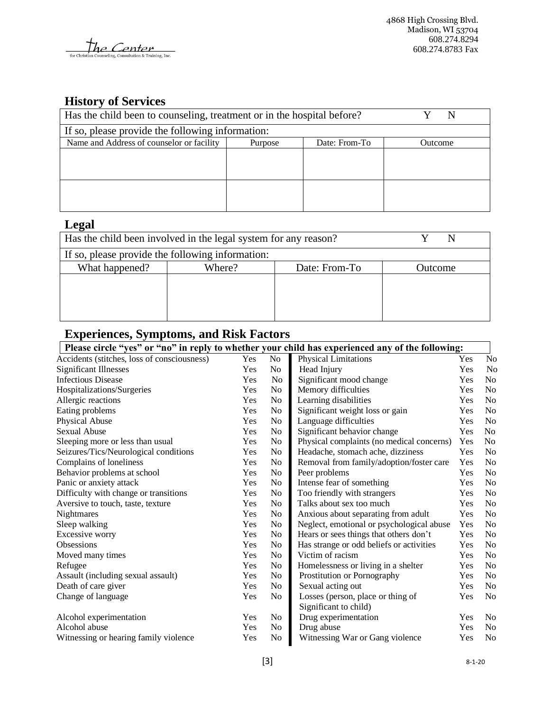the Center for Cl

# **History of Services**

| Has the child been to counseling, treatment or in the hospital before? | N       |               |         |
|------------------------------------------------------------------------|---------|---------------|---------|
| If so, please provide the following information:                       |         |               |         |
| Name and Address of counselor or facility                              | Purpose | Date: From-To | Outcome |
|                                                                        |         |               |         |
|                                                                        |         |               |         |
|                                                                        |         |               |         |
|                                                                        |         |               |         |
|                                                                        |         |               |         |
|                                                                        |         |               |         |

## **Legal**

| Has the child been involved in the legal system for any reason? |        |               |                |
|-----------------------------------------------------------------|--------|---------------|----------------|
| If so, please provide the following information:                |        |               |                |
| What happened?                                                  | Where? | Date: From-To | <b>Dutcome</b> |
|                                                                 |        |               |                |
|                                                                 |        |               |                |
|                                                                 |        |               |                |
|                                                                 |        |               |                |

# **Experiences, Symptoms, and Risk Factors**

| Please circle "yes" or "no" in reply to whether your child has experienced any of the following: |     |                |                                           |     |                |  |
|--------------------------------------------------------------------------------------------------|-----|----------------|-------------------------------------------|-----|----------------|--|
| Accidents (stitches, loss of consciousness)                                                      | Yes | No             | Physical Limitations                      | Yes | No             |  |
| <b>Significant Illnesses</b>                                                                     | Yes | N <sub>0</sub> | Head Injury                               | Yes | No             |  |
| <b>Infectious Disease</b>                                                                        | Yes | N <sub>0</sub> | Significant mood change                   | Yes | N <sub>0</sub> |  |
| Hospitalizations/Surgeries                                                                       | Yes | N <sub>o</sub> | Memory difficulties                       | Yes | No             |  |
| Allergic reactions                                                                               | Yes | N <sub>o</sub> | Learning disabilities                     | Yes | No             |  |
| Eating problems                                                                                  | Yes | N <sub>o</sub> | Significant weight loss or gain           | Yes | N <sub>0</sub> |  |
| Physical Abuse                                                                                   | Yes | N <sub>o</sub> | Language difficulties                     | Yes | No             |  |
| Sexual Abuse                                                                                     | Yes | N <sub>o</sub> | Significant behavior change               | Yes | N <sub>0</sub> |  |
| Sleeping more or less than usual                                                                 | Yes | N <sub>o</sub> | Physical complaints (no medical concerns) | Yes | No             |  |
| Seizures/Tics/Neurological conditions                                                            | Yes | N <sub>o</sub> | Headache, stomach ache, dizziness         | Yes | No             |  |
| Complains of loneliness                                                                          | Yes | N <sub>0</sub> | Removal from family/adoption/foster care  | Yes | No             |  |
| Behavior problems at school                                                                      | Yes | N <sub>0</sub> | Peer problems                             | Yes | No             |  |
| Panic or anxiety attack                                                                          | Yes | N <sub>o</sub> | Intense fear of something                 | Yes | N <sub>0</sub> |  |
| Difficulty with change or transitions                                                            | Yes | N <sub>o</sub> | Too friendly with strangers               | Yes | No             |  |
| Aversive to touch, taste, texture                                                                | Yes | N <sub>o</sub> | Talks about sex too much                  | Yes | N <sub>0</sub> |  |
| Nightmares                                                                                       | Yes | N <sub>0</sub> | Anxious about separating from adult       | Yes | N <sub>0</sub> |  |
| Sleep walking                                                                                    | Yes | N <sub>0</sub> | Neglect, emotional or psychological abuse | Yes | N <sub>0</sub> |  |
| Excessive worry                                                                                  | Yes | N <sub>o</sub> | Hears or sees things that others don't    | Yes | No             |  |
| <b>Obsessions</b>                                                                                | Yes | N <sub>o</sub> | Has strange or odd beliefs or activities  | Yes | No             |  |
| Moved many times                                                                                 | Yes | N <sub>o</sub> | Victim of racism                          | Yes | No             |  |
| Refugee                                                                                          | Yes | N <sub>o</sub> | Homelessness or living in a shelter       | Yes | N <sub>0</sub> |  |
| Assault (including sexual assault)                                                               | Yes | N <sub>o</sub> | Prostitution or Pornography               | Yes | No             |  |
| Death of care giver                                                                              | Yes | N <sub>o</sub> | Sexual acting out                         | Yes | No             |  |
| Change of language                                                                               | Yes | N <sub>o</sub> | Losses (person, place or thing of         | Yes | N <sub>0</sub> |  |
|                                                                                                  |     |                | Significant to child)                     |     |                |  |
| Alcohol experimentation                                                                          | Yes | N <sub>0</sub> | Drug experimentation                      | Yes | No             |  |
| Alcohol abuse                                                                                    | Yes | N <sub>o</sub> | Drug abuse                                | Yes | No             |  |
| Witnessing or hearing family violence                                                            | Yes | N <sub>o</sub> | Witnessing War or Gang violence           | Yes | No             |  |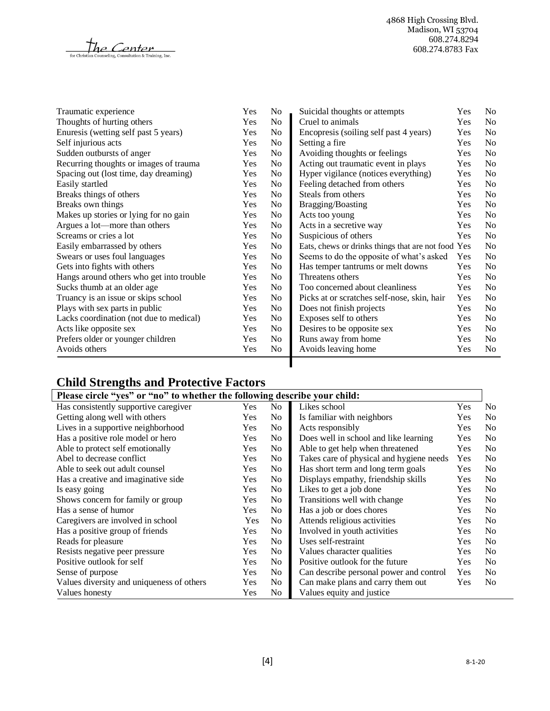$\mathcal{H}$ e Center for Chris

4868 High Crossing Blvd. Madison, WI 53704 608.274.8294 608.274.8783 Fax

| Traumatic experience                     | Yes        | N <sub>0</sub> | Suicidal thoughts or attempts                      | Yes | No |
|------------------------------------------|------------|----------------|----------------------------------------------------|-----|----|
| Thoughts of hurting others               | Yes        | No             | Cruel to animals                                   | Yes | No |
| Enuresis (wetting self past 5 years)     | Yes        | No             | Encopresis (soiling self past 4 years)             | Yes | No |
| Self injurious acts                      | Yes        | N <sub>o</sub> | Setting a fire                                     | Yes | No |
| Sudden outbursts of anger                | Yes        | No             | Avoiding thoughts or feelings                      | Yes | No |
| Recurring thoughts or images of trauma   | Yes        | No             | Acting out traumatic event in plays                | Yes | No |
| Spacing out (lost time, day dreaming)    | Yes        | N <sub>o</sub> | Hyper vigilance (notices everything)               | Yes | No |
| Easily startled                          | Yes        | No             | Feeling detached from others                       | Yes | No |
| Breaks things of others                  | Yes        | No             | Steals from others                                 | Yes | No |
| Breaks own things                        | Yes        | No             | Bragging/Boasting                                  | Yes | No |
| Makes up stories or lying for no gain    | Yes        | N <sub>o</sub> | Acts too young                                     | Yes | No |
| Argues a lot—more than others            | Yes        | N <sub>o</sub> | Acts in a secretive way                            | Yes | No |
| Screams or cries a lot                   | Yes        | N <sub>o</sub> | Suspicious of others                               | Yes | No |
| Easily embarrassed by others             | Yes        | N <sub>o</sub> | Eats, chews or drinks things that are not food Yes |     | No |
| Swears or uses foul languages            | Yes        | No             | Seems to do the opposite of what's asked           | Yes | No |
| Gets into fights with others             | Yes        | N <sub>0</sub> | Has temper tantrums or melt downs                  | Yes | No |
| Hangs around others who get into trouble | Yes        | No             | Threatens others                                   | Yes | No |
| Sucks thumb at an older age              | Yes        | N <sub>0</sub> | Too concerned about cleanliness                    | Yes | No |
| Truancy is an issue or skips school      | Yes        | No             | Picks at or scratches self-nose, skin, hair        | Yes | No |
| Plays with sex parts in public           | Yes        | N <sub>o</sub> | Does not finish projects                           | Yes | No |
| Lacks coordination (not due to medical)  | Yes        | N <sub>o</sub> | Exposes self to others                             | Yes | No |
| Acts like opposite sex                   | <b>Yes</b> | N <sub>0</sub> | Desires to be opposite sex                         | Yes | No |
| Prefers older or younger children        | Yes        | N <sub>o</sub> | Runs away from home                                | Yes | No |
| Avoids others                            | Yes        | No             | Avoids leaving home                                | Yes | No |
|                                          |            |                |                                                    |     |    |

# **Child Strengths and Protective Factors**

| Please circle "yes" or "no" to whether the following describe your child: |            |                |                                          |            |                |
|---------------------------------------------------------------------------|------------|----------------|------------------------------------------|------------|----------------|
| Has consistently supportive caregiver                                     | <b>Yes</b> | N <sub>0</sub> | Likes school                             | Yes        | No.            |
| Getting along well with others                                            | Yes        | N <sub>o</sub> | Is familiar with neighbors               | <b>Yes</b> | N <sub>0</sub> |
| Lives in a supportive neighborhood                                        | Yes        | N <sub>o</sub> | Acts responsibly                         | Yes        | N <sub>o</sub> |
| Has a positive role model or hero                                         | Yes        | N <sub>o</sub> | Does well in school and like learning    | Yes        | N <sub>o</sub> |
| Able to protect self emotionally                                          | <b>Yes</b> | No.            | Able to get help when threatened         | <b>Yes</b> | N <sub>0</sub> |
| Abel to decrease conflict                                                 | <b>Yes</b> | No.            | Takes care of physical and hygiene needs | Yes        | N <sub>0</sub> |
| Able to seek out adult counsel                                            | Yes        | N <sub>0</sub> | Has short term and long term goals       | <b>Yes</b> | N <sub>0</sub> |
| Has a creative and imaginative side                                       | <b>Yes</b> | No             | Displays empathy, friendship skills      | <b>Yes</b> | N <sub>0</sub> |
| Is easy going                                                             | <b>Yes</b> | N <sub>0</sub> | Likes to get a job done                  | Yes        | N <sub>0</sub> |
| Shows concern for family or group                                         | <b>Yes</b> | N <sub>o</sub> | Transitions well with change             | Yes        | N <sub>0</sub> |
| Has a sense of humor                                                      | Yes        | N <sub>o</sub> | Has a job or does chores                 | Yes        | N <sub>0</sub> |
| Caregivers are involved in school                                         | Yes        | N <sub>o</sub> | Attends religious activities             | <b>Yes</b> | N <sub>0</sub> |
| Has a positive group of friends                                           | <b>Yes</b> | No.            | Involved in youth activities             | <b>Yes</b> | N <sub>0</sub> |
| Reads for pleasure                                                        | <b>Yes</b> | No.            | Uses self-restraint                      | <b>Yes</b> | N <sub>0</sub> |
| Resists negative peer pressure                                            | Yes        | N <sub>0</sub> | Values character qualities               | Yes        | N <sub>0</sub> |
| Positive outlook for self                                                 | Yes        | No.            | Positive outlook for the future          | <b>Yes</b> | N <sub>0</sub> |
| Sense of purpose                                                          | <b>Yes</b> | N <sub>o</sub> | Can describe personal power and control  | <b>Yes</b> | N <sub>0</sub> |
| Values diversity and uniqueness of others                                 | <b>Yes</b> | N <sub>o</sub> | Can make plans and carry them out        | <b>Yes</b> | N <sub>0</sub> |
| Values honesty                                                            | Yes        | N <sub>o</sub> | Values equity and justice                |            |                |